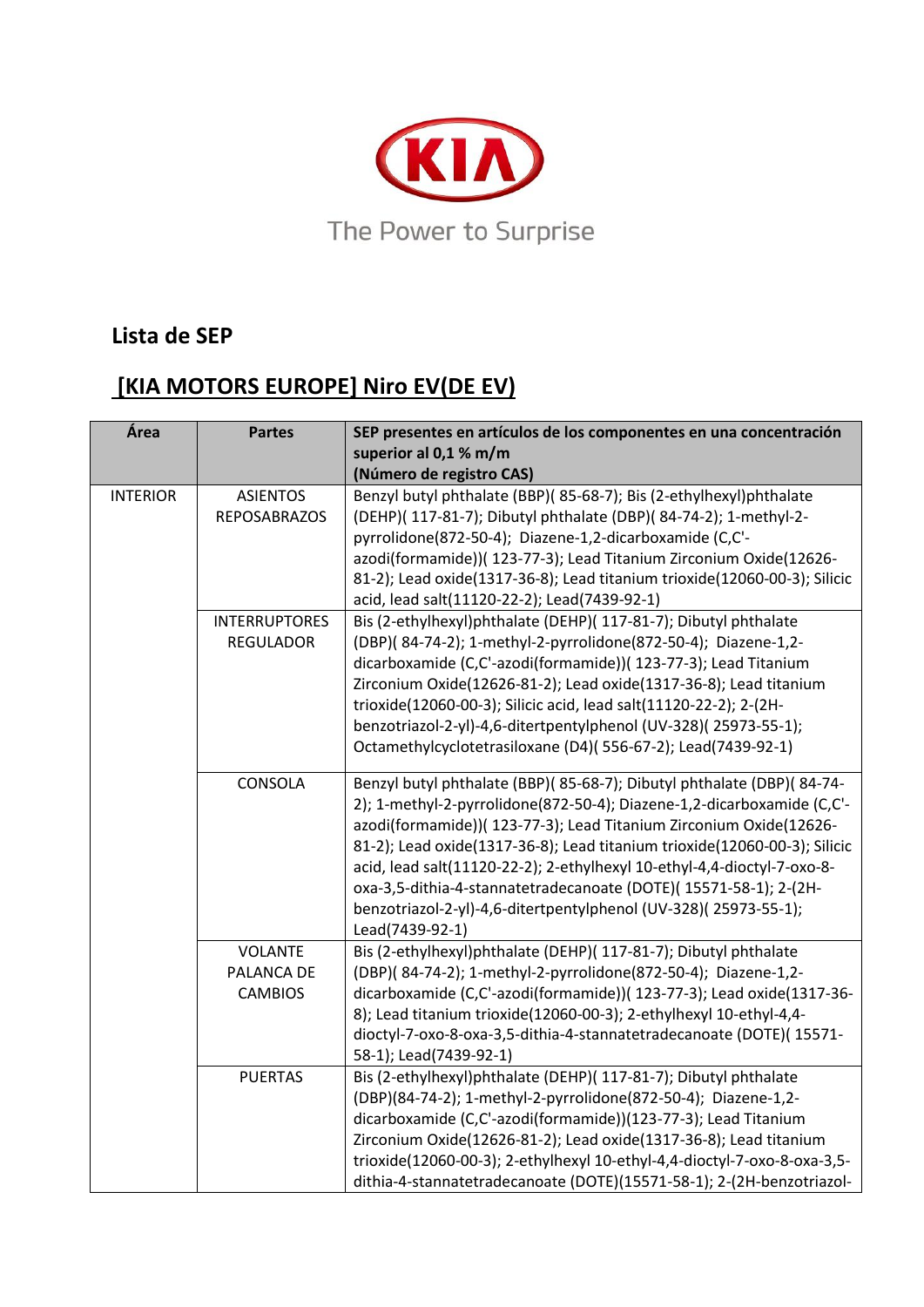

## **Lista de SEP**

## **[KIA MOTORS EUROPE] Niro EV(DE EV)**

| Área            | <b>Partes</b>                                  | SEP presentes en artículos de los componentes en una concentración                                                                                                                                                                                                                                                                                                                                                                                                                                                                      |
|-----------------|------------------------------------------------|-----------------------------------------------------------------------------------------------------------------------------------------------------------------------------------------------------------------------------------------------------------------------------------------------------------------------------------------------------------------------------------------------------------------------------------------------------------------------------------------------------------------------------------------|
|                 |                                                | superior al 0,1 % m/m<br>(Número de registro CAS)                                                                                                                                                                                                                                                                                                                                                                                                                                                                                       |
| <b>INTERIOR</b> | <b>ASIENTOS</b><br><b>REPOSABRAZOS</b>         | Benzyl butyl phthalate (BBP)(85-68-7); Bis (2-ethylhexyl)phthalate<br>(DEHP)( 117-81-7); Dibutyl phthalate (DBP)( 84-74-2); 1-methyl-2-<br>pyrrolidone(872-50-4); Diazene-1,2-dicarboxamide (C,C'-<br>azodi(formamide))( 123-77-3); Lead Titanium Zirconium Oxide(12626-<br>81-2); Lead oxide(1317-36-8); Lead titanium trioxide(12060-00-3); Silicic<br>acid, lead salt(11120-22-2); Lead(7439-92-1)                                                                                                                                   |
|                 | <b>INTERRUPTORES</b><br><b>REGULADOR</b>       | Bis (2-ethylhexyl)phthalate (DEHP)( 117-81-7); Dibutyl phthalate<br>(DBP)(84-74-2); 1-methyl-2-pyrrolidone(872-50-4); Diazene-1,2-<br>dicarboxamide (C,C'-azodi(formamide))( 123-77-3); Lead Titanium<br>Zirconium Oxide(12626-81-2); Lead oxide(1317-36-8); Lead titanium<br>trioxide(12060-00-3); Silicic acid, lead salt(11120-22-2); 2-(2H-<br>benzotriazol-2-yl)-4,6-ditertpentylphenol (UV-328)(25973-55-1);<br>Octamethylcyclotetrasiloxane (D4)(556-67-2); Lead(7439-92-1)                                                      |
|                 | CONSOLA                                        | Benzyl butyl phthalate (BBP)(85-68-7); Dibutyl phthalate (DBP)(84-74-<br>2); 1-methyl-2-pyrrolidone(872-50-4); Diazene-1,2-dicarboxamide (C,C'-<br>azodi(formamide))( 123-77-3); Lead Titanium Zirconium Oxide(12626-<br>81-2); Lead oxide(1317-36-8); Lead titanium trioxide(12060-00-3); Silicic<br>acid, lead salt(11120-22-2); 2-ethylhexyl 10-ethyl-4,4-dioctyl-7-oxo-8-<br>oxa-3,5-dithia-4-stannatetradecanoate (DOTE)(15571-58-1); 2-(2H-<br>benzotriazol-2-yl)-4,6-ditertpentylphenol (UV-328)(25973-55-1);<br>Lead(7439-92-1) |
|                 | <b>VOLANTE</b><br>PALANCA DE<br><b>CAMBIOS</b> | Bis (2-ethylhexyl)phthalate (DEHP)( 117-81-7); Dibutyl phthalate<br>(DBP)(84-74-2); 1-methyl-2-pyrrolidone(872-50-4); Diazene-1,2-<br>dicarboxamide (C,C'-azodi(formamide))( 123-77-3); Lead oxide(1317-36-<br>8); Lead titanium trioxide(12060-00-3); 2-ethylhexyl 10-ethyl-4,4-<br>dioctyl-7-oxo-8-oxa-3,5-dithia-4-stannatetradecanoate (DOTE)(15571-<br>58-1); Lead(7439-92-1)                                                                                                                                                      |
|                 | <b>PUERTAS</b>                                 | Bis (2-ethylhexyl)phthalate (DEHP)( 117-81-7); Dibutyl phthalate<br>(DBP)(84-74-2); 1-methyl-2-pyrrolidone(872-50-4); Diazene-1,2-<br>dicarboxamide (C,C'-azodi(formamide))(123-77-3); Lead Titanium<br>Zirconium Oxide(12626-81-2); Lead oxide(1317-36-8); Lead titanium<br>trioxide(12060-00-3); 2-ethylhexyl 10-ethyl-4,4-dioctyl-7-oxo-8-oxa-3,5-<br>dithia-4-stannatetradecanoate (DOTE)(15571-58-1); 2-(2H-benzotriazol-                                                                                                          |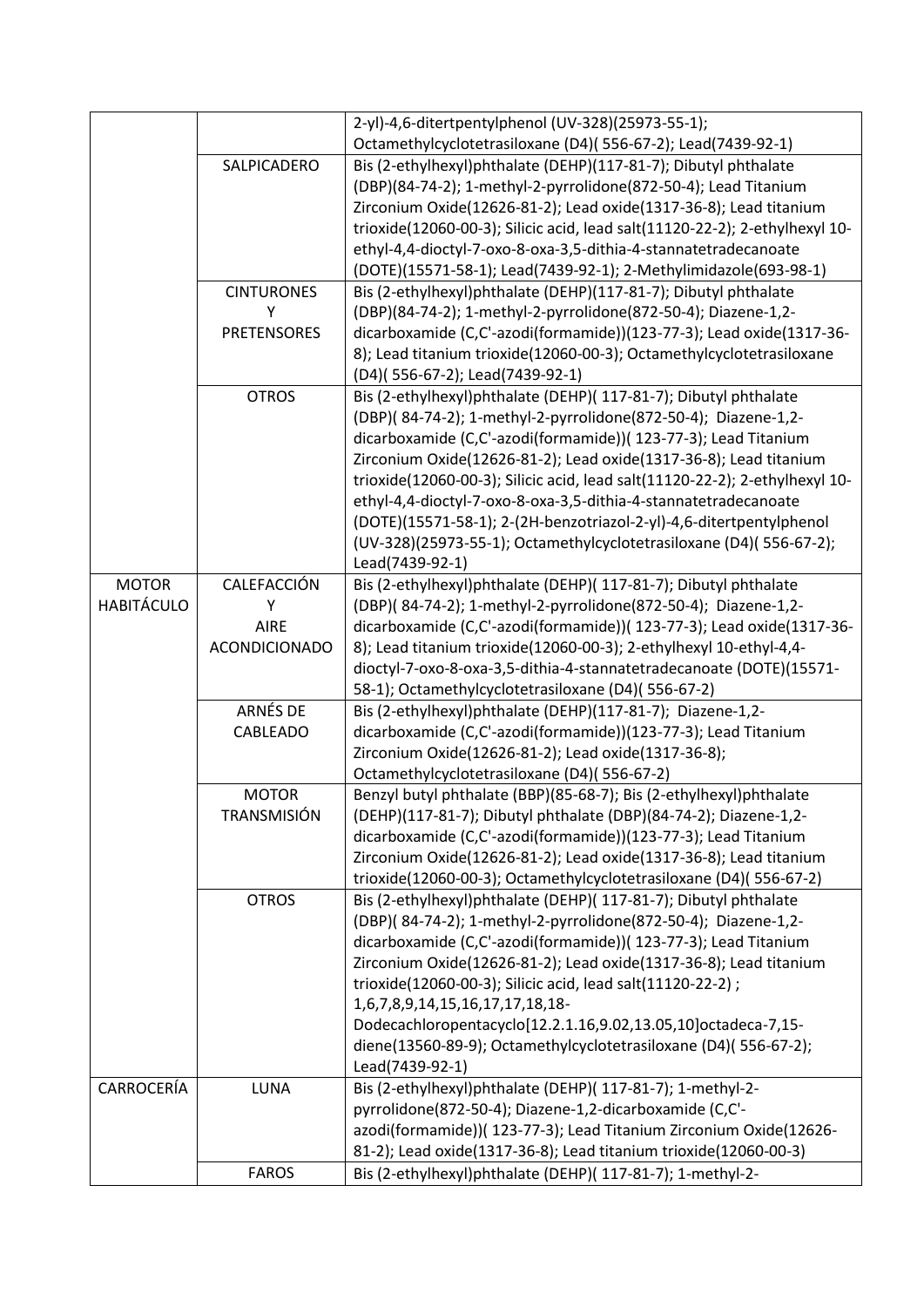|                   |                      | 2-yl)-4,6-ditertpentylphenol (UV-328)(25973-55-1);                                               |
|-------------------|----------------------|--------------------------------------------------------------------------------------------------|
|                   |                      | Octamethylcyclotetrasiloxane (D4)(556-67-2); Lead(7439-92-1)                                     |
|                   | SALPICADERO          | Bis (2-ethylhexyl)phthalate (DEHP)(117-81-7); Dibutyl phthalate                                  |
|                   |                      | (DBP)(84-74-2); 1-methyl-2-pyrrolidone(872-50-4); Lead Titanium                                  |
|                   |                      | Zirconium Oxide(12626-81-2); Lead oxide(1317-36-8); Lead titanium                                |
|                   |                      | trioxide(12060-00-3); Silicic acid, lead salt(11120-22-2); 2-ethylhexyl 10-                      |
|                   |                      | ethyl-4,4-dioctyl-7-oxo-8-oxa-3,5-dithia-4-stannatetradecanoate                                  |
|                   |                      | (DOTE)(15571-58-1); Lead(7439-92-1); 2-Methylimidazole(693-98-1)                                 |
|                   | <b>CINTURONES</b>    | Bis (2-ethylhexyl)phthalate (DEHP)(117-81-7); Dibutyl phthalate                                  |
|                   | Υ                    | (DBP)(84-74-2); 1-methyl-2-pyrrolidone(872-50-4); Diazene-1,2-                                   |
|                   | <b>PRETENSORES</b>   | dicarboxamide (C,C'-azodi(formamide))(123-77-3); Lead oxide(1317-36-                             |
|                   |                      | 8); Lead titanium trioxide(12060-00-3); Octamethylcyclotetrasiloxane                             |
|                   |                      | (D4)(556-67-2); Lead(7439-92-1)                                                                  |
|                   | <b>OTROS</b>         | Bis (2-ethylhexyl)phthalate (DEHP)( 117-81-7); Dibutyl phthalate                                 |
|                   |                      | (DBP)(84-74-2); 1-methyl-2-pyrrolidone(872-50-4); Diazene-1,2-                                   |
|                   |                      | dicarboxamide (C,C'-azodi(formamide))( 123-77-3); Lead Titanium                                  |
|                   |                      | Zirconium Oxide(12626-81-2); Lead oxide(1317-36-8); Lead titanium                                |
|                   |                      | trioxide(12060-00-3); Silicic acid, lead salt(11120-22-2); 2-ethylhexyl 10-                      |
|                   |                      | ethyl-4,4-dioctyl-7-oxo-8-oxa-3,5-dithia-4-stannatetradecanoate                                  |
|                   |                      | (DOTE)(15571-58-1); 2-(2H-benzotriazol-2-yl)-4,6-ditertpentylphenol                              |
|                   |                      | (UV-328)(25973-55-1); Octamethylcyclotetrasiloxane (D4)(556-67-2);                               |
|                   |                      | Lead(7439-92-1)                                                                                  |
| <b>MOTOR</b>      | CALEFACCIÓN          | Bis (2-ethylhexyl)phthalate (DEHP)( 117-81-7); Dibutyl phthalate                                 |
| <b>HABITÁCULO</b> | Υ                    | (DBP)(84-74-2); 1-methyl-2-pyrrolidone(872-50-4); Diazene-1,2-                                   |
|                   | <b>AIRE</b>          | dicarboxamide (C,C'-azodi(formamide))( 123-77-3); Lead oxide(1317-36-                            |
|                   | <b>ACONDICIONADO</b> | 8); Lead titanium trioxide(12060-00-3); 2-ethylhexyl 10-ethyl-4,4-                               |
|                   |                      | dioctyl-7-oxo-8-oxa-3,5-dithia-4-stannatetradecanoate (DOTE)(15571-                              |
|                   |                      | 58-1); Octamethylcyclotetrasiloxane (D4)(556-67-2)                                               |
|                   | ARNÉS DE             | Bis (2-ethylhexyl)phthalate (DEHP)(117-81-7); Diazene-1,2-                                       |
|                   | CABLEADO             | dicarboxamide (C,C'-azodi(formamide))(123-77-3); Lead Titanium                                   |
|                   |                      | Zirconium Oxide(12626-81-2); Lead oxide(1317-36-8);                                              |
|                   |                      | Octamethylcyclotetrasiloxane (D4)(556-67-2)                                                      |
|                   | <b>MOTOR</b>         | Benzyl butyl phthalate (BBP)(85-68-7); Bis (2-ethylhexyl)phthalate                               |
|                   | <b>TRANSMISIÓN</b>   | (DEHP)(117-81-7); Dibutyl phthalate (DBP)(84-74-2); Diazene-1,2-                                 |
|                   |                      | dicarboxamide (C,C'-azodi(formamide))(123-77-3); Lead Titanium                                   |
|                   |                      | Zirconium Oxide(12626-81-2); Lead oxide(1317-36-8); Lead titanium                                |
|                   |                      | trioxide(12060-00-3); Octamethylcyclotetrasiloxane (D4)(556-67-2)                                |
|                   | <b>OTROS</b>         | Bis (2-ethylhexyl)phthalate (DEHP)( 117-81-7); Dibutyl phthalate                                 |
|                   |                      | (DBP)(84-74-2); 1-methyl-2-pyrrolidone(872-50-4); Diazene-1,2-                                   |
|                   |                      | dicarboxamide (C,C'-azodi(formamide))( 123-77-3); Lead Titanium                                  |
|                   |                      | Zirconium Oxide(12626-81-2); Lead oxide(1317-36-8); Lead titanium                                |
|                   |                      | trioxide(12060-00-3); Silicic acid, lead salt(11120-22-2);                                       |
|                   |                      |                                                                                                  |
|                   |                      | 1,6,7,8,9,14,15,16,17,17,18,18-<br>Dodecachloropentacyclo[12.2.1.16,9.02,13.05,10]octadeca-7,15- |
|                   |                      | diene(13560-89-9); Octamethylcyclotetrasiloxane (D4)(556-67-2);                                  |
|                   |                      |                                                                                                  |
| CARROCERÍA        | LUNA                 | Lead(7439-92-1)<br>Bis (2-ethylhexyl)phthalate (DEHP)( 117-81-7); 1-methyl-2-                    |
|                   |                      | pyrrolidone(872-50-4); Diazene-1,2-dicarboxamide (C,C'-                                          |
|                   |                      | azodi(formamide))( 123-77-3); Lead Titanium Zirconium Oxide(12626-                               |
|                   |                      |                                                                                                  |
|                   |                      | 81-2); Lead oxide(1317-36-8); Lead titanium trioxide(12060-00-3)                                 |
|                   | <b>FAROS</b>         | Bis (2-ethylhexyl)phthalate (DEHP)( 117-81-7); 1-methyl-2-                                       |